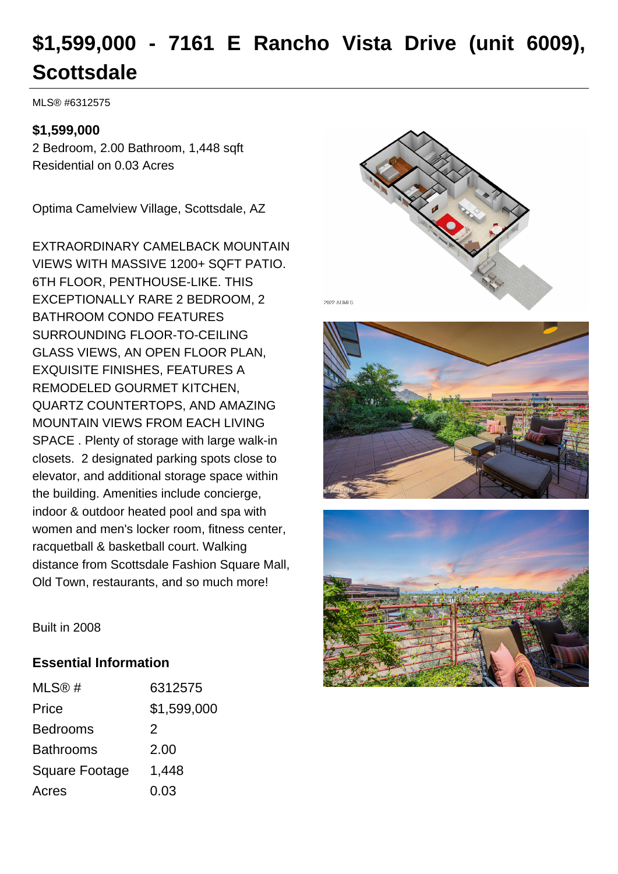# **\$1,599,000 - 7161 E Rancho Vista Drive (unit 6009), Scottsdale**

MLS® #6312575

# **\$1,599,000**

2 Bedroom, 2.00 Bathroom, 1,448 sqft Residential on 0.03 Acres

Optima Camelview Village, Scottsdale, AZ

EXTRAORDINARY CAMELBACK MOUNTAIN VIEWS WITH MASSIVE 1200+ SQFT PATIO. 6TH FLOOR, PENTHOUSE-LIKE. THIS EXCEPTIONALLY RARE 2 BEDROOM, 2 BATHROOM CONDO FEATURES SURROUNDING FLOOR-TO-CEILING GLASS VIEWS, AN OPEN FLOOR PLAN, EXQUISITE FINISHES, FEATURES A REMODELED GOURMET KITCHEN, QUARTZ COUNTERTOPS, AND AMAZING MOUNTAIN VIEWS FROM EACH LIVING SPACE . Plenty of storage with large walk-in closets. 2 designated parking spots close to elevator, and additional storage space within the building. Amenities include concierge, indoor & outdoor heated pool and spa with women and men's locker room, fitness center, racquetball & basketball court. Walking distance from Scottsdale Fashion Square Mall, Old Town, restaurants, and so much more!







Built in 2008

# **Essential Information**

| MLS@#                 | 6312575     |
|-----------------------|-------------|
| Price                 | \$1,599,000 |
| <b>Bedrooms</b>       | 2           |
| <b>Bathrooms</b>      | 2.00        |
| <b>Square Footage</b> | 1,448       |
| Acres                 | 0.03        |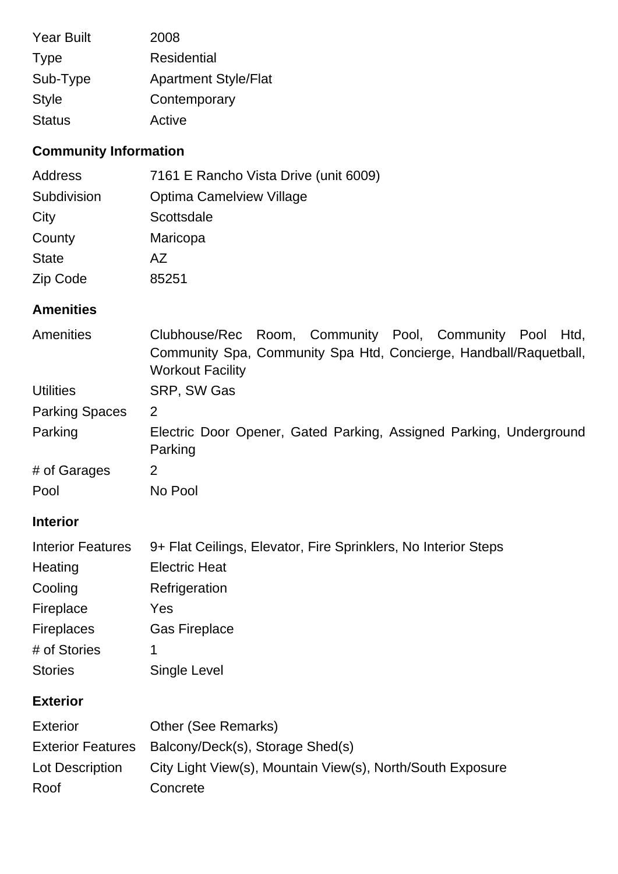| <b>Year Built</b> | 2008                        |
|-------------------|-----------------------------|
| <b>Type</b>       | Residential                 |
| Sub-Type          | <b>Apartment Style/Flat</b> |
| <b>Style</b>      | Contemporary                |
| <b>Status</b>     | Active                      |

# **Community Information**

| Address      | 7161 E Rancho Vista Drive (unit 6009) |
|--------------|---------------------------------------|
| Subdivision  | Optima Camelview Village              |
| City         | Scottsdale                            |
| County       | Maricopa                              |
| <b>State</b> | AZ.                                   |
| Zip Code     | 85251                                 |

# **Amenities**

| <b>Amenities</b>         | Clubhouse/Rec Room, Community Pool, Community Pool Htd,<br>Community Spa, Community Spa Htd, Concierge, Handball/Raquetball,<br><b>Workout Facility</b> |
|--------------------------|---------------------------------------------------------------------------------------------------------------------------------------------------------|
| <b>Utilities</b>         | SRP, SW Gas                                                                                                                                             |
| <b>Parking Spaces</b>    | 2                                                                                                                                                       |
| Parking                  | Electric Door Opener, Gated Parking, Assigned Parking, Underground<br>Parking                                                                           |
| # of Garages             | 2                                                                                                                                                       |
| Pool                     | No Pool                                                                                                                                                 |
| <b>Interior</b>          |                                                                                                                                                         |
| <b>Interior Features</b> | 9+ Flat Ceilings, Elevator, Fire Sprinklers, No Interior Steps                                                                                          |
| Heating                  | <b>Electric Heat</b>                                                                                                                                    |
| Cooling                  | Refrigeration                                                                                                                                           |
| Fireplace                | Yes                                                                                                                                                     |
| <b>Fireplaces</b>        | <b>Gas Fireplace</b>                                                                                                                                    |
| # of Stories             | 1                                                                                                                                                       |
| <b>Stories</b>           | Single Level                                                                                                                                            |
| <b>Exterior</b>          |                                                                                                                                                         |
| <b>Exterior</b>          | <b>Other (See Remarks)</b>                                                                                                                              |
| <b>Exterior Features</b> | Balcony/Deck(s), Storage Shed(s)                                                                                                                        |
| Lot Description          | City Light View(s), Mountain View(s), North/South Exposure                                                                                              |
| Roof                     | Concrete                                                                                                                                                |